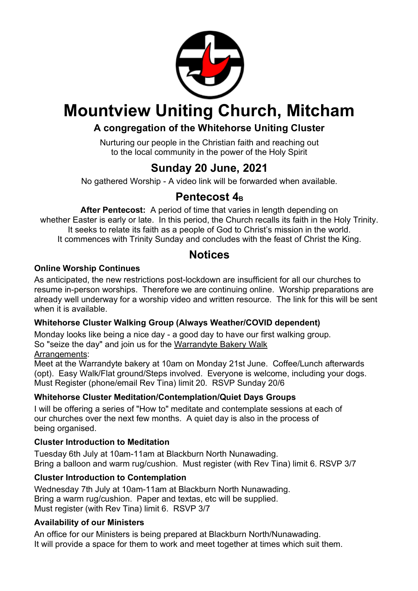

## **Mountview Uniting Church, Mitcham**

## **A congregation of the Whitehorse Uniting Cluster**

Nurturing our people in the Christian faith and reaching out to the local community in the power of the Holy Spirit

## **Sunday 20 June, 2021**

No gathered Worship - A video link will be forwarded when available.

## Pentecost 4<sub>B</sub>

**After Pentecost:** A period of time that varies in length depending on whether Easter is early or late. In this period, the Church recalls its faith in the Holy Trinity. It seeks to relate its faith as a people of God to Christ's mission in the world. It commences with Trinity Sunday and concludes with the feast of Christ the King.

## **Notices**

#### **Online Worship Continues**

As anticipated, the new restrictions post-lockdown are insufficient for all our churches to resume in-person worships. Therefore we are continuing online. Worship preparations are already well underway for a worship video and written resource. The link for this will be sent when it is available.

#### **Whitehorse Cluster Walking Group (Always Weather/COVID dependent)**

Monday looks like being a nice day - a good day to have our first walking group. So "seize the day" and join us for the Warrandyte Bakery Walk Arrangements:

Meet at the Warrandyte bakery at 10am on Monday 21st June. Coffee/Lunch afterwards (opt). Easy Walk/Flat ground/Steps involved. Everyone is welcome, including your dogs. Must Register (phone/email Rev Tina) limit 20. RSVP Sunday 20/6

### **Whitehorse Cluster Meditation/Contemplation/Quiet Days Groups**

I will be offering a series of "How to" meditate and contemplate sessions at each of our churches over the next few months. A quiet day is also in the process of being organised.

#### **Cluster Introduction to Meditation**

Tuesday 6th July at 10am-11am at Blackburn North Nunawading. Bring a balloon and warm rug/cushion. Must register (with Rev Tina) limit 6. RSVP 3/7

### **Cluster Introduction to Contemplation**

Wednesday 7th July at 10am-11am at Blackburn North Nunawading. Bring a warm rug/cushion. Paper and textas, etc will be supplied. Must register (with Rev Tina) limit 6. RSVP 3/7

#### **Availability of our Ministers**

An office for our Ministers is being prepared at Blackburn North/Nunawading. It will provide a space for them to work and meet together at times which suit them.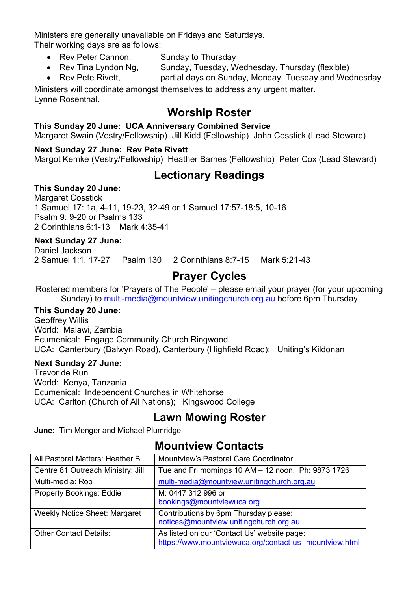Ministers are generally unavailable on Fridays and Saturdays. Their working days are as follows:

- Rev Peter Cannon, Sunday to Thursday
- Rev Tina Lyndon Ng, Sunday, Tuesday, Wednesday, Thursday (flexible)
- Rev Pete Rivett, partial days on Sunday, Monday, Tuesday and Wednesday

Ministers will coordinate amongst themselves to address any urgent matter.

## Lynne Rosenthal.

## **Worship Roster**

#### **This Sunday 20 June: UCA Anniversary Combined Service**

Margaret Swain (Vestry/Fellowship) Jill Kidd (Fellowship) John Cosstick (Lead Steward)

#### **Next Sunday 27 June: Rev Pete Rivett**

Margot Kemke (Vestry/Fellowship) Heather Barnes (Fellowship) Peter Cox (Lead Steward)

## **Lectionary Readings**

#### **This Sunday 20 June:**

Margaret Cosstick 1 Samuel 17: 1a, 4-11, 19-23, 32-49 or 1 Samuel 17:57-18:5, 10-16 Psalm 9: 9-20 or Psalms 133 2 Corinthians 6:1-13 Mark 4:35-41

#### **Next Sunday 27 June:**

Daniel Jackson 2 Samuel 1:1, 17-27 Psalm 130 2 Corinthians 8:7-15 Mark 5:21-43

## **Prayer Cycles**

Rostered members for 'Prayers of The People' – please email your prayer (for your upcoming Sunday) to multi-media@mountview.unitingchurch.org.au before 6pm Thursday

#### **This Sunday 20 June:**

Geoffrey Willis World: Malawi, Zambia Ecumenical: Engage Community Church Ringwood UCA: Canterbury (Balwyn Road), Canterbury (Highfield Road); Uniting's Kildonan

#### **Next Sunday 27 June:**

Trevor de Run World: Kenya, Tanzania Ecumenical: Independent Churches in Whitehorse UCA: Carlton (Church of All Nations); Kingswood College

## **Lawn Mowing Roster**

**June:** Tim Menger and Michael Plumridge

## **Mountview Contacts**

| All Pastoral Matters: Heather B      | Mountview's Pastoral Care Coordinator                                                                  |
|--------------------------------------|--------------------------------------------------------------------------------------------------------|
| Centre 81 Outreach Ministry: Jill    | Tue and Fri mornings 10 AM - 12 noon. Ph: 9873 1726                                                    |
| Multi-media: Rob                     | multi-media@mountview.unitingchurch.org.au                                                             |
| <b>Property Bookings: Eddie</b>      | M: 0447 312 996 or<br>bookings@mountviewuca.org                                                        |
| <b>Weekly Notice Sheet: Margaret</b> | Contributions by 6pm Thursday please:<br>notices@mountview.unitingchurch.org.au                        |
| <b>Other Contact Details:</b>        | As listed on our 'Contact Us' website page:<br>https://www.mountviewuca.org/contact-us--mountview.html |